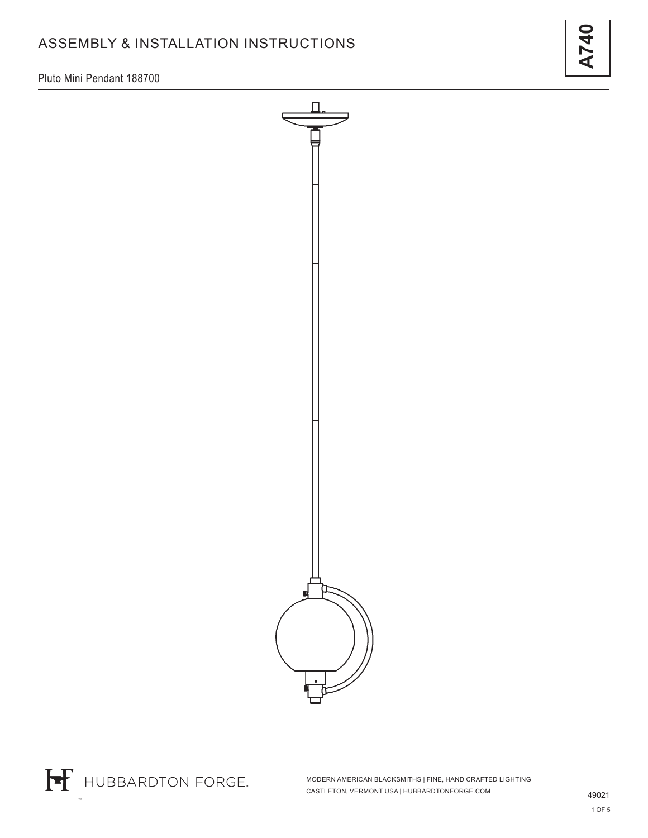# ASSEMBLY & INSTALLATION INSTRUCTIONS

Pluto Mini Pendant 188700

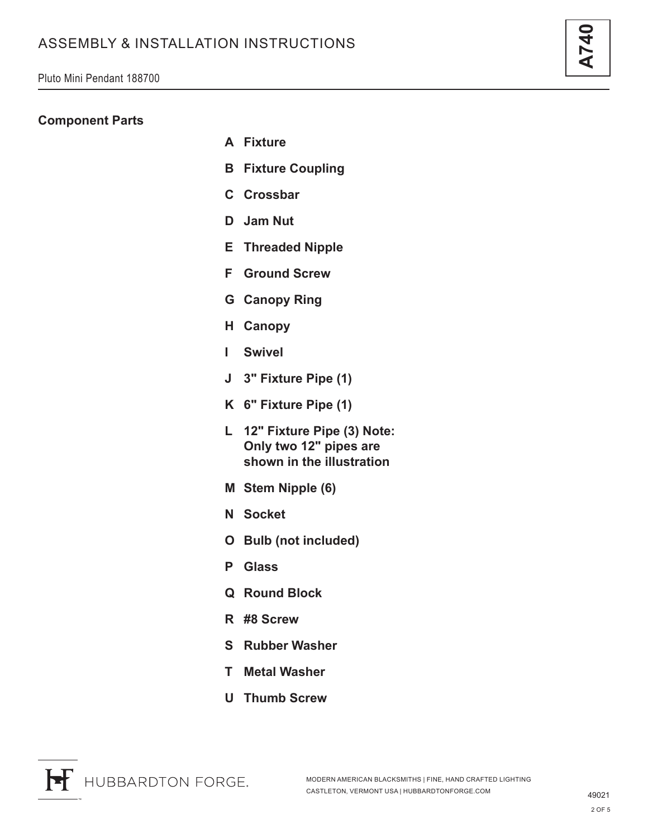### **Component Parts**

- **A Fixture**
- **B Fixture Coupling**
- **C Crossbar**
- **D Jam Nut**
- **E Threaded Nipple**
- **F Ground Screw**
- **G Canopy Ring**
- **H Canopy**
- **I Swivel**
- **J 3" Fixture Pipe (1)**
- **K 6" Fixture Pipe (1)**
- **L 12" Fixture Pipe (3) Note: Only two 12" pipes are shown in the illustration**
- **M Stem Nipple (6)**
- **N Socket**
- **O Bulb (not included)**
- **P Glass**
- **Q Round Block**
- **R #8 Screw**
- **S Rubber Washer**
- **T Metal Washer**
- **U Thumb Screw**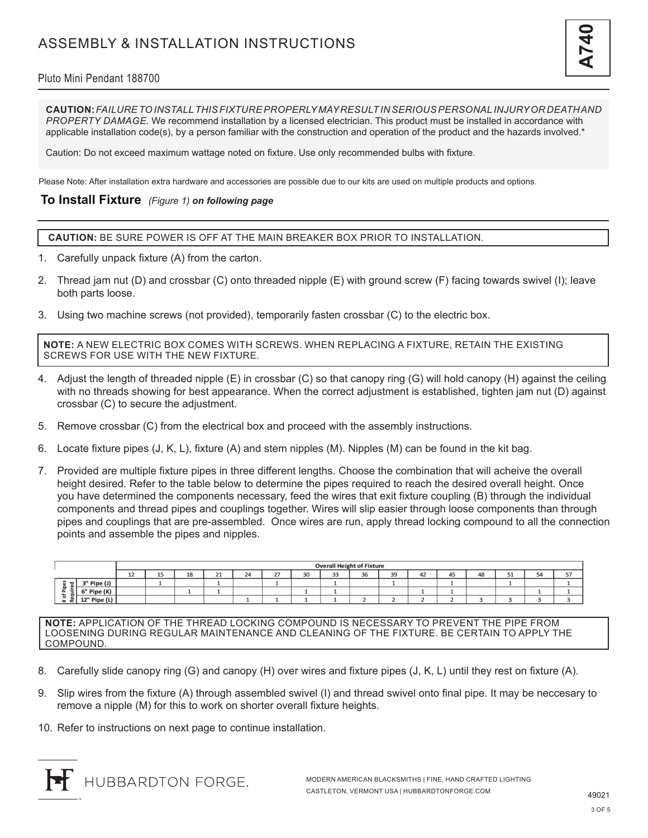### Pluto Mini Pendant 188700

**CAUTION:** *FAILURE TO INSTALL THIS FIXTURE PROPERLY MAY RESULT IN SERIOUS PERSONAL INJURY OR DEATH AND PROPERTY DAMAGE.* We recommend installation by a licensed electrician. This product must be installed in accordance with applicable installation code(s), by a person familiar with the construction and operation of the product and the hazards involved.\*

Caution: Do not exceed maximum wattage noted on fixture. Use only recommended bulbs with fixture.

Please Note: After installation extra hardware and accessories are possible due to our kits are used on multiple products and options.

### **To Install Fixture** *(Figure 1) on following page*

**CAUTION:** BE SURE POWER IS OFF AT THE MAIN BREAKER BOX PRIOR TO INSTALLATION.

- 1. Carefully unpack fixture (A) from the carton.
- 2. Thread jam nut (D) and crossbar (C) onto threaded nipple (E) with ground screw (F) facing towards swivel (I); leave both parts loose.
- 3. Using two machine screws (not provided), temporarily fasten crossbar (C) to the electric box.

**NOTE:** A NEW ELECTRIC BOX COMES WITH SCREWS. WHEN REPLACING A FIXTURE, RETAIN THE EXISTING SCREWS FOR USE WITH THE NEW FIXTURE.

- 4. Adjust the length of threaded nipple (E) in crossbar (C) so that canopy ring (G) will hold canopy (H) against the ceiling with no threads showing for best appearance. When the correct adjustment is established, tighten jam nut (D) against crossbar (C) to secure the adjustment.
- 5. Remove crossbar (C) from the electrical box and proceed with the assembly instructions.
- 6. Locate fixture pipes (J, K, L), fixture (A) and stem nipples (M). Nipples (M) can be found in the kit bag.
- 7. Provided are multiple fixture pipes in three different lengths. Choose the combination that will acheive the overall height desired. Refer to the table below to determine the pipes required to reach the desired overall height. Once you have determined the components necessary, feed the wires that exit fixture coupling (B) through the individual components and thread pipes and couplings together. Wires will slip easier through loose components than through pipes and couplings that are pre-assembled. Once wires are run, apply thread locking compound to all the connection points and assemble the pipes and nipples.

|                                     |                        | <b>Overall Height of Fixture</b> |          |    |                   |    |             |    |         |    |    |    |    |    |         |                     |       |
|-------------------------------------|------------------------|----------------------------------|----------|----|-------------------|----|-------------|----|---------|----|----|----|----|----|---------|---------------------|-------|
|                                     |                        | ᅩ                                | --<br>-- | 18 | $\mathbf{A}$<br>ᅩ | 24 | $\sim$<br>ı | 30 | 22<br>ت | 36 | 39 | 42 | 45 | 48 | ш.<br>ᆚ | . .<br>$\sim$<br>۔۔ | $- -$ |
| n<br>은.<br>$\overline{ }$<br>,<br>œ | Pipe (J)               |                                  |          |    |                   |    |             |    |         |    |    |    |    |    |         |                     |       |
|                                     | Pipe (K)               |                                  |          |    |                   |    |             |    |         |    |    |    |    |    |         |                     |       |
|                                     | $12"$ Pipe (Li $\cdot$ |                                  |          |    |                   |    |             |    |         |    |    |    |    |    |         |                     |       |

**NOTE:** APPLICATION OF THE THREAD LOCKING COMPOUND IS NECESSARY TO PREVENT THE PIPE FROM LOOSENING DURING REGULAR MAINTENANCE AND CLEANING OF THE FIXTURE. BE CERTAIN TO APPLY THE COMPOUND.

- 8. Carefully slide canopy ring (G) and canopy (H) over wires and fixture pipes (J, K, L) until they rest on fixture (A).
- 9. Slip wires from the fixture (A) through assembled swivel (I) and thread swivel onto final pipe. It may be neccesary to remove a nipple (M) for this to work on shorter overall fixture heights.
- 10. Refer to instructions on next page to continue installation.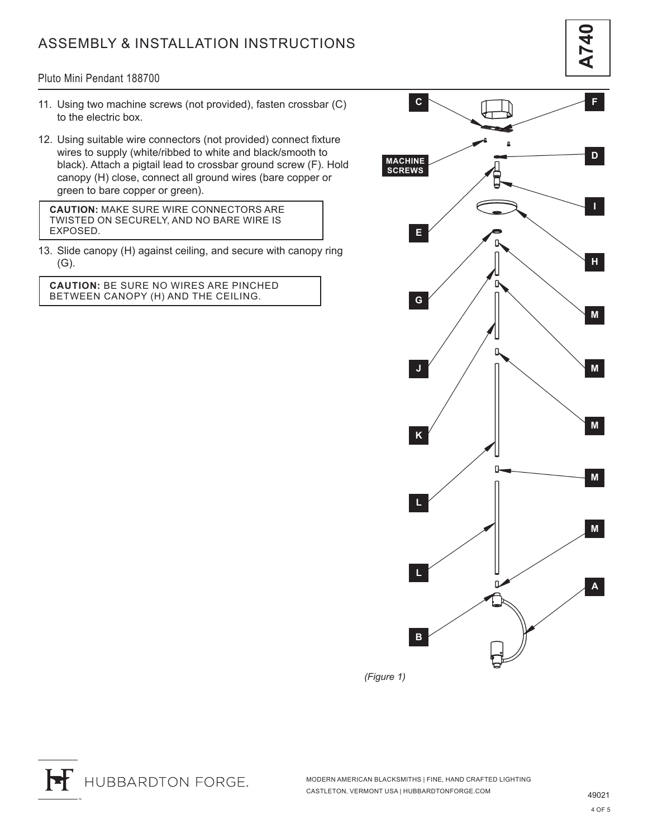## ASSEMBLY & INSTALLATION INSTRUCTIONS

**A740**

#### Pluto Mini Pendant 188700

- 11. Using two machine screws (not provided), fasten crossbar (C) to the electric box.
- 12. Using suitable wire connectors (not provided) connect fixture wires to supply (white/ribbed to white and black/smooth to black). Attach a pigtail lead to crossbar ground screw (F). Hold canopy (H) close, connect all ground wires (bare copper or green to bare copper or green).

**CAUTION:** MAKE SURE WIRE CONNECTORS ARE TWISTED ON SECURELY, AND NO BARE WIRE IS EXPOSED.

13. Slide canopy (H) against ceiling, and secure with canopy ring (G).

**CAUTION:** BE SURE NO WIRES ARE PINCHED BETWEEN CANOPY (H) AND THE CEILING.



*(Figure 1)*